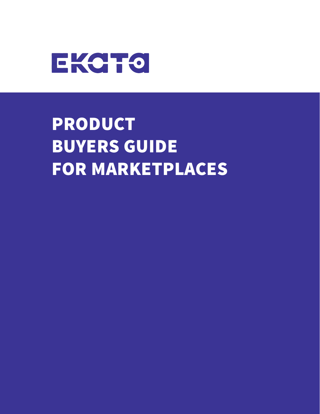

## PRODUCT BUYERS GUIDE FOR MARKETPLACES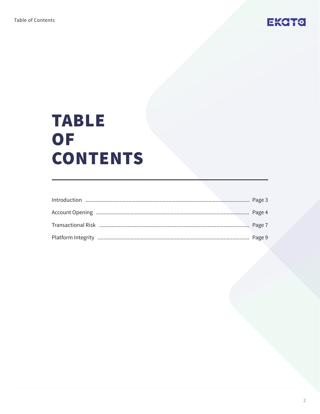

## **TABLE** OF **CONTENTS**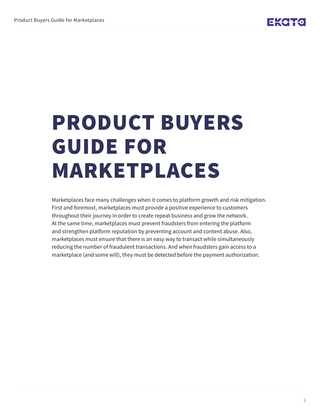# PRODUCT BUYERS GUIDE FOR MARKETPLACES

Marketplaces face many challenges when it comes to platform growth and risk mitigation. First and foremost, marketplaces must provide a positive experience to customers throughout their journey in order to create repeat business and grow the network. At the same time, marketplaces must prevent fraudsters from entering the platform and strengthen platform reputation by preventing account and content abuse. Also, marketplaces must ensure that there is an easy way to transact while simultaneously reducing the number of fraudulent transactions. And when fraudsters gain access to a marketplace (and some will), they must be detected before the payment authorization.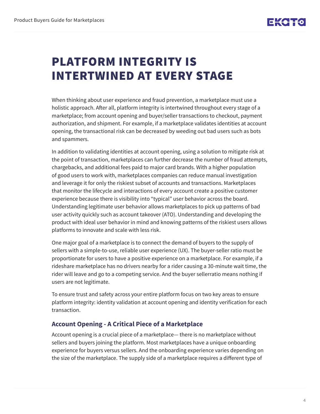### PLATFORM INTEGRITY IS INTERTWINED AT EVERY STAGE

When thinking about user experience and fraud prevention, a marketplace must use a holistic approach. After all, platform integrity is intertwined throughout every stage of a marketplace; from account opening and buyer/seller transactions to checkout, payment authorization, and shipment. For example, if a marketplace validates identities at account opening, the transactional risk can be decreased by weeding out bad users such as bots and spammers.

In addition to validating identities at account opening, using a solution to mitigate risk at the point of transaction, marketplaces can further decrease the number of fraud attempts, chargebacks, and additional fees paid to major card brands. With a higher population of good users to work with, marketplaces companies can reduce manual investigation and leverage it for only the riskiest subset of accounts and transactions. Marketplaces that monitor the lifecycle and interactions of every account create a positive customer experience because there is visibility into "typical" user behavior across the board. Understanding legitimate user behavior allows marketplaces to pick up patterns of bad user activity quickly such as account takeover (ATO). Understanding and developing the product with ideal user behavior in mind and knowing patterns of the riskiest users allows platforms to innovate and scale with less risk.

One major goal of a marketplace is to connect the demand of buyers to the supply of sellers with a simple-to-use, reliable user experience (UX). The buyer-seller ratio must be proportionate for users to have a positive experience on a marketplace. For example, if a rideshare marketplace has no drivers nearby for a rider causing a 30-minute wait time, the rider will leave and go to a competing service. And the buyer sellerratio means nothing if users are not legitimate.

To ensure trust and safety across your entire platform focus on two key areas to ensure platform integrity: identity validation at account opening and identity verification for each transaction.

#### **Account Opening - A Critical Piece of a Marketplace**

Account opening is a crucial piece of a marketplace— there is no marketplace without sellers and buyers joining the platform. Most marketplaces have a unique onboarding experience for buyers versus sellers. And the onboarding experience varies depending on the size of the marketplace. The supply side of a marketplace requires a different type of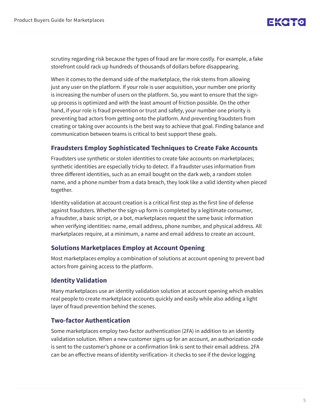scrutiny regarding risk because the types of fraud are far more costly. For example, a fake storefront could rack up hundreds of thousands of dollars before disappearing.

When it comes to the demand side of the marketplace, the risk stems from allowing just any user on the platform. If your role is user acquisition, your number one priority is increasing the number of users on the platform. So, you want to ensure that the signup process is optimized and with the least amount of friction possible. On the other hand, if your role is fraud prevention or trust and safety, your number one priority is preventing bad actors from getting onto the platform. And preventing fraudsters from creating or taking over accounts is the best way to achieve that goal. Finding balance and communication between teams is critical to best support these goals.

#### **Fraudsters Employ Sophisticated Techniques to Create Fake Accounts**

Fraudsters use synthetic or stolen identities to create fake accounts on marketplaces; synthetic identities are especially tricky to detect. If a fraudster uses information from three different identities, such as an email bought on the dark web, a random stolen name, and a phone number from a data breach, they look like a valid identity when pieced together.

Identity validation at account creation is a critical first step as the first line of defense against fraudsters. Whether the sign-up form is completed by a legitimate consumer, a fraudster, a basic script, or a bot, marketplaces request the same basic information when verifying identities: name, email address, phone number, and physical address. All marketplaces require, at a minimum, a name and email address to create an account.

#### **Solutions Marketplaces Employ at Account Opening**

Most marketplaces employ a combination of solutions at account opening to prevent bad actors from gaining access to the platform.

#### **Identity Validation**

Many marketplaces use an identity validation solution at account opening which enables real people to create marketplace accounts quickly and easily while also adding a light layer of fraud prevention behind the scenes.

#### **Two-factor Authentication**

Some marketplaces employ two-factor authentication (2FA) in addition to an identity validation solution. When a new customer signs up for an account, an authorization code is sent to the customer's phone or a confirmation link is sent to their email address. 2FA can be an effective means of identity verification- it checks to see if the device logging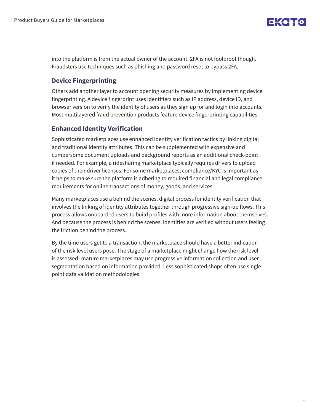into the platform is from the actual owner of the account. 2FA is not foolproof though. Fraudsters use techniques such as phishing and password reset to bypass 2FA.

#### **Device Fingerprinting**

Others add another layer to account opening security measures by implementing device fingerprinting. A device fingerprint uses identifiers such as IP address, device ID, and browser version to verify the identity of users as they sign up for and login into accounts. Most multilayered fraud prevention products feature device fingerprinting capabilities.

#### **Enhanced Identity Verification**

Sophisticated marketplaces use enhanced identity verification tactics by linking digital and traditional identity attributes. This can be supplemented with expensive and cumbersome document uploads and background reports as an additional check-point if needed. For example, a ridesharing marketplace typically requires drivers to upload copies of their driver licenses. For some marketplaces, compliance/KYC is important as it helps to make sure the platform is adhering to required financial and legal compliance requirements for online transactions of money, goods, and services.

Many marketplaces use a behind the scenes, digital process for identity verification that involves the linking of identity attributes together through progressive sign-up flows. This process allows onboarded users to build profiles with more information about themselves. And because the process is behind the scenes, identities are verified without users feeling the friction behind the process.

By the time users get to a transaction, the marketplace should have a better indication of the risk level users pose. The stage of a marketplace might change how the risk level is assessed- mature marketplaces may use progressive information collection and user segmentation based on information provided. Less sophisticated shops often use single point data validation methodologies.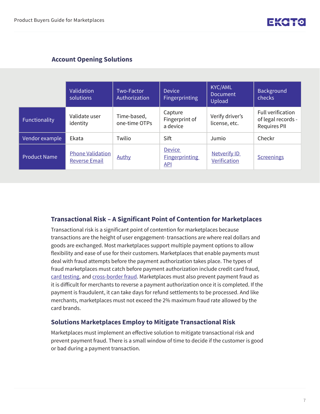#### **Account Opening Solutions**

|                     | Validation<br>solutions                         | Two-Factor<br>Authorization  | <b>Device</b><br>Fingerprinting                      | <b>KYC/AML</b><br><b>Document</b><br>Upload | <b>Background</b><br>checks                                           |
|---------------------|-------------------------------------------------|------------------------------|------------------------------------------------------|---------------------------------------------|-----------------------------------------------------------------------|
| Functionality       | Validate user<br>identity                       | Time-based,<br>one-time OTPs | Capture<br>Fingerprint of<br>a device                | Verify driver's<br>license, etc.            | <b>Full verification</b><br>of legal records -<br><b>Requires PII</b> |
| Vendor example      | Ekata                                           | Twilio                       | <b>Sift</b>                                          | Jumio                                       | Checkr                                                                |
| <b>Product Name</b> | <b>Phone Validation</b><br><b>Reverse Email</b> | Authy                        | <b>Device</b><br><b>Fingerprinting</b><br><b>API</b> | <b>Netverify ID</b><br>Verification         | <b>Screenings</b>                                                     |

#### **Transactional Risk – A Significant Point of Contention for Marketplaces**

Transactional risk is a significant point of contention for marketplaces because transactions are the height of user engagement- transactions are where real dollars and goods are exchanged. Most marketplaces support multiple payment options to allow flexibility and ease of use for their customers. Marketplaces that enable payments must deal with fraud attempts before the payment authorization takes place. The types of fraud marketplaces must catch before payment authorization include credit card fraud, [card testing,](https://ekata.com/blog/egift-card-fraud/) and [cross-border fraud](https://ekata.com/blog/mitigating-cross-border-ecommerce-fraud/). Marketplaces must also prevent payment fraud as it is difficult for merchants to reverse a payment authorization once it is completed. If the payment is fraudulent, it can take days for refund settlements to be processed. And like merchants, marketplaces must not exceed the 2% maximum fraud rate allowed by the card brands.

#### **Solutions Marketplaces Employ to Mitigate Transactional Risk**

Marketplaces must implement an effective solution to mitigate transactional risk and prevent payment fraud. There is a small window of time to decide if the customer is good or bad during a payment transaction.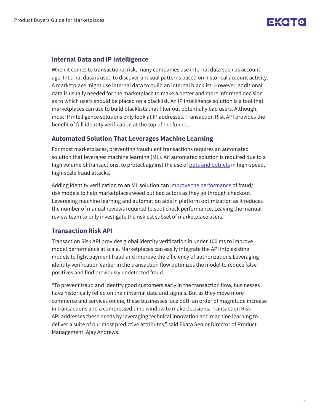#### **Internal Data and IP Intelligence**

When it comes to transactional risk, many companies use internal data such as account age. Internal data is used to discover unusual patterns based on historical account activity. A marketplace might use internal data to build an internal blacklist. However, additional data is usually needed for the marketplace to make a better and more informed decision as to which users should be placed on a blacklist. An IP intelligence solution is a tool that marketplaces can use to build blacklists that filter out potentially bad users. Although, most IP intelligence solutions only look at IP addresses. Transaction Risk API provides the benefit of full identity verification at the top of the funnel.

#### **Automated Solution That Leverages Machine Learning**

For most marketplaces, preventing fraudulent transactions requires an automated solution that leverages machine learning (ML). An automated solution is required due to a high volume of transactions, to protect against the use of **bots and botnets** in high-speed, high-scale fraud attacks.

Adding identity verification to an ML solution can [improve the performance](https://ekata.com/blog/improve-fraud-model-performance-apis/) of fraud/ risk models to help marketplaces weed out bad actors as they go through checkout. Leveraging machine learning and automation aids in platform optimization as it reduces the number of manual reviews required to spot check performance. Leaving the manual review team to only investigate the riskiest subset of marketplace users.

#### **Transaction Risk API**

Transaction Risk API provides global identity verification in under 100 ms to improve model performance at scale. Marketplaces can easily integrate the API into existing models to fight payment fraud and improve the efficiency of authorizations.Leveraging identity verification earlier in the transaction flow optimizes the model to reduce false positives and find previously undetected fraud.

"To prevent fraud and identify good customers early in the transaction flow, businesses have historically relied on their internal data and signals. But as they move more commerce and services online, these businesses face both an order of magnitude increase in transactions and a compressed time window to make decisions. Transaction Risk API addresses these needs by leveraging technical innovation and machine learning to deliver a suite of our most predictive attributes," said Ekata Senior Director of Product Management, Ajay Andrews.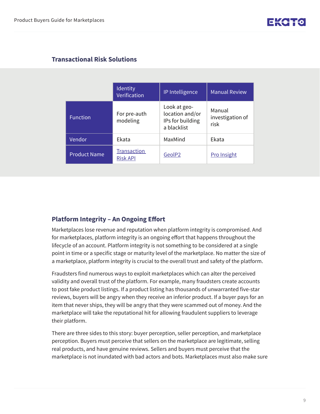#### **Transactional Risk Solutions**

|                     | Identity<br>Verification       | IP Intelligence                                                    | <b>Manual Review</b>               |
|---------------------|--------------------------------|--------------------------------------------------------------------|------------------------------------|
| <b>Function</b>     | For pre-auth<br>modeling       | Look at geo-<br>location and/or<br>IPs for building<br>a blacklist | Manual<br>investigation of<br>risk |
| Vendor              | <b>Fkata</b>                   | MaxMind                                                            | Ekata                              |
| <b>Product Name</b> | Transaction<br><b>Risk API</b> | GeolP2                                                             | <b>Pro Insight</b>                 |

#### **Platform Integrity – An Ongoing Effort**

Marketplaces lose revenue and reputation when platform integrity is compromised. And for marketplaces, platform integrity is an ongoing effort that happens throughout the lifecycle of an account. Platform integrity is not something to be considered at a single point in time or a specific stage or maturity level of the marketplace. No matter the size of a marketplace, platform integrity is crucial to the overall trust and safety of the platform.

Fraudsters find numerous ways to exploit marketplaces which can alter the perceived validity and overall trust of the platform. For example, many fraudsters create accounts to post fake product listings. If a product listing has thousands of unwarranted five-star reviews, buyers will be angry when they receive an inferior product. If a buyer pays for an item that never ships, they will be angry that they were scammed out of money. And the marketplace will take the reputational hit for allowing fraudulent suppliers to leverage their platform.

There are three sides to this story: buyer perception, seller perception, and marketplace perception. Buyers must perceive that sellers on the marketplace are legitimate, selling real products, and have genuine reviews. Sellers and buyers must perceive that the marketplace is not inundated with bad actors and bots. Marketplaces must also make sure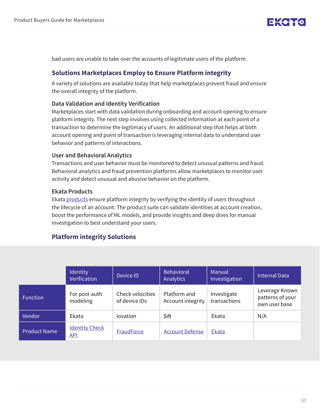bad users are unable to take over the accounts of legitimate users of the platform.

#### **Solutions Marketplaces Employ to Ensure Platform integrity**

A variety of solutions are available today that help marketplaces prevent fraud and ensure the overall integrity of the platform.

#### **Data Validation and Identity Verification**

Marketplaces start with data validation during onboarding and account opening to ensure platform integrity. The next step involves using collected information at each point of a transaction to determine the legitimacy of users. An additional step that helps at both account opening and point of transaction is leveraging internal data to understand user behavior and patterns of interactions.

#### **User and Behavioral Analytics**

Transactions and user behavior must be monitored to detect unusual patterns and fraud. Behavioral analytics and fraud prevention platforms allow marketplaces to monitor user activity and detect unusual and abusive behavior on the platform.

#### **Ekata Products**

Ekata [products](https://ekata.com/apis/) ensure platform integrity by verifying the identity of users throughout the lifecycle of an account. The product suite can validate identities at account creation, boost the performance of ML models, and provide insights and deep dives for manual investigation to best understand your users.

#### **Platform integrity Solutions**

|                     | Identity<br>Verification            | Device ID                         | <b>Behavioral</b><br><b>Analytics</b> | Manual<br>Investigation     | <b>Internal Data</b>                                |
|---------------------|-------------------------------------|-----------------------------------|---------------------------------------|-----------------------------|-----------------------------------------------------|
| <b>Function</b>     | For post-auth<br>modeling           | Check velocities<br>of device IDs | Platform and<br>Account integrity     | Investigate<br>transactions | Leverage Known<br>patterns of your<br>own user base |
| Vendor              | Ekata                               | <b>lovation</b>                   | Sift                                  | Ekata                       | N/A                                                 |
| <b>Product Name</b> | <b>Identity Check</b><br><u>API</u> | <b>FraudForce</b>                 | <b>Account Defense</b>                | Ekata                       |                                                     |